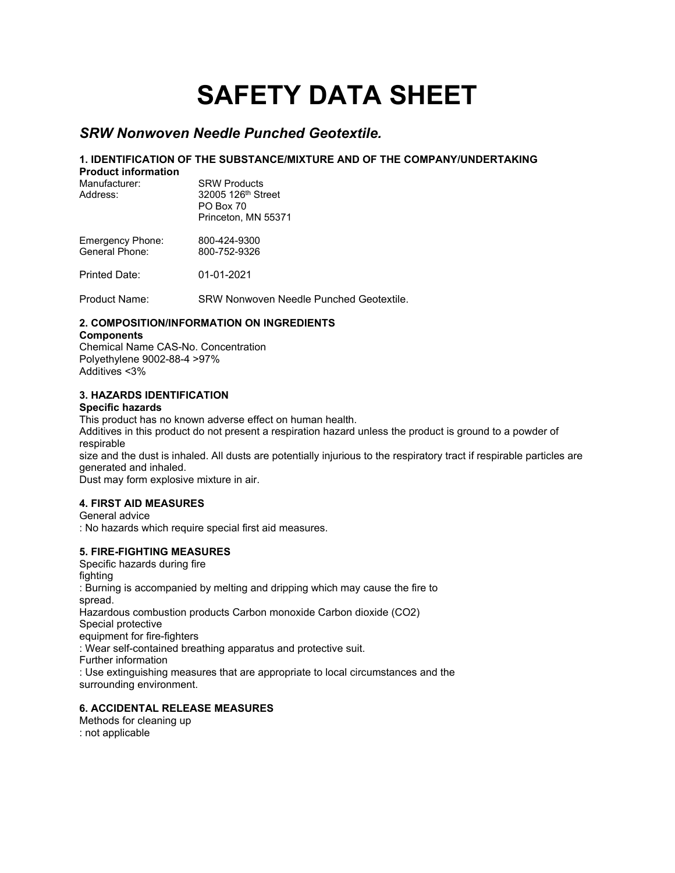# **SAFETY DATA SHEET**

# *SRW Nonwoven Needle Punched Geotextile.*

# **1. IDENTIFICATION OF THE SUBSTANCE/MIXTURE AND OF THE COMPANY/UNDERTAKING**

| <b>Product information</b><br>Manufacturer:<br>Address: | <b>SRW Products</b><br>32005 126th Street<br><b>PO Box 70</b><br>Princeton, MN 55371 |
|---------------------------------------------------------|--------------------------------------------------------------------------------------|
| Emergency Phone:<br>General Phone:                      | 800-424-9300<br>800-752-9326                                                         |
| Printed Date:                                           | 01-01-2021                                                                           |

Product Name: SRW Nonwoven Needle Punched Geotextile.

### **2. COMPOSITION/INFORMATION ON INGREDIENTS**

#### **Components**

Chemical Name CAS-No. Concentration Polyethylene 9002-88-4 >97% Additives <3%

# **3. HAZARDS IDENTIFICATION**

#### **Specific hazards**

This product has no known adverse effect on human health.

Additives in this product do not present a respiration hazard unless the product is ground to a powder of respirable

size and the dust is inhaled. All dusts are potentially injurious to the respiratory tract if respirable particles are generated and inhaled.

Dust may form explosive mixture in air.

#### **4. FIRST AID MEASURES**

General advice : No hazards which require special first aid measures.

# **5. FIRE-FIGHTING MEASURES**

Specific hazards during fire fighting : Burning is accompanied by melting and dripping which may cause the fire to spread. Hazardous combustion products Carbon monoxide Carbon dioxide (CO2) Special protective

equipment for fire-fighters

: Wear self-contained breathing apparatus and protective suit.

Further information

: Use extinguishing measures that are appropriate to local circumstances and the surrounding environment.

#### **6. ACCIDENTAL RELEASE MEASURES**

Methods for cleaning up

: not applicable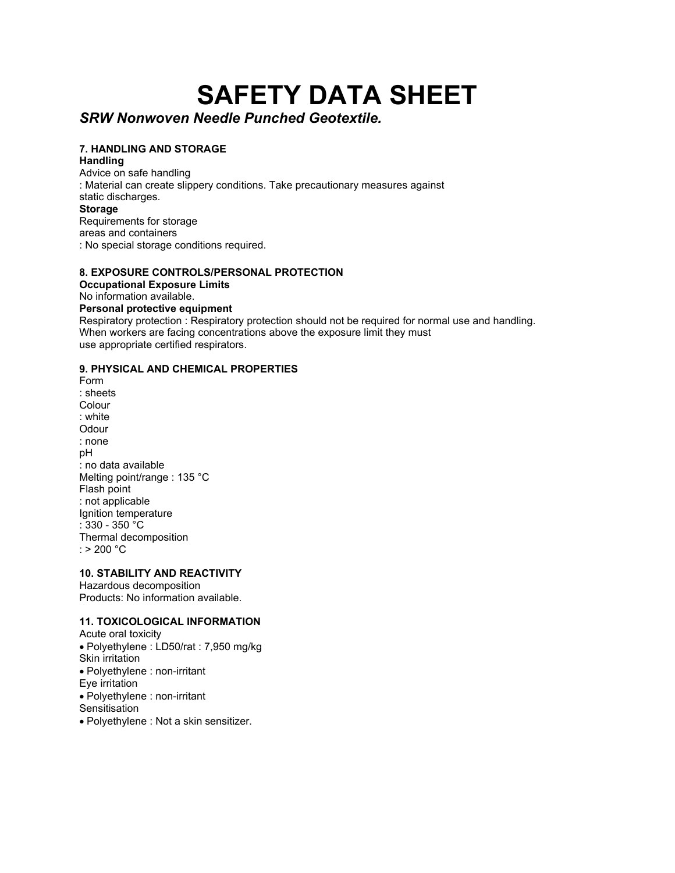# **SAFETY DATA SHEET**

# *SRW Nonwoven Needle Punched Geotextile.*

## **7. HANDLING AND STORAGE**

**Handling**

Advice on safe handling : Material can create slippery conditions. Take precautionary measures against static discharges. **Storage** Requirements for storage

areas and containers

: No special storage conditions required.

# **8. EXPOSURE CONTROLS/PERSONAL PROTECTION**

**Occupational Exposure Limits**

No information available.

#### **Personal protective equipment**

Respiratory protection : Respiratory protection should not be required for normal use and handling. When workers are facing concentrations above the exposure limit they must use appropriate certified respirators.

### **9. PHYSICAL AND CHEMICAL PROPERTIES**

Form : sheets Colour : white **Odour** : none pH : no data available Melting point/range : 135 °C Flash point : not applicable Ignition temperature : 330 - 350 °C Thermal decomposition :  $> 200 °C$ 

#### **10. STABILITY AND REACTIVITY**

Hazardous decomposition Products: No information available.

# **11. TOXICOLOGICAL INFORMATION**

- Acute oral toxicity • Polyethylene : LD50/rat : 7,950 mg/kg Skin irritation • Polyethylene : non-irritant Eye irritation • Polyethylene : non-irritant **Sensitisation**
- Polyethylene : Not a skin sensitizer.